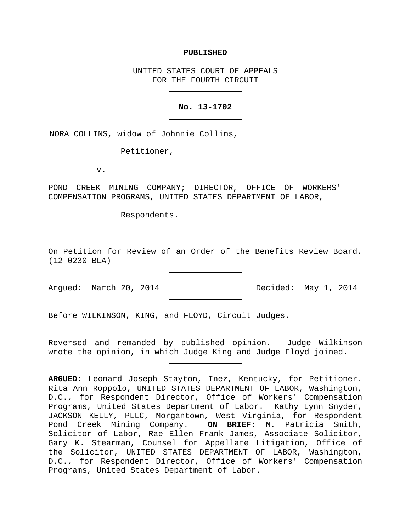#### **PUBLISHED**

UNITED STATES COURT OF APPEALS FOR THE FOURTH CIRCUIT

### **No. 13-1702**

NORA COLLINS, widow of Johnnie Collins,

Petitioner,

v.

POND CREEK MINING COMPANY; DIRECTOR, OFFICE OF WORKERS' COMPENSATION PROGRAMS, UNITED STATES DEPARTMENT OF LABOR,

Respondents.

On Petition for Review of an Order of the Benefits Review Board. (12-0230 BLA)

Argued: March 20, 2014 Decided: May 1, 2014

Before WILKINSON, KING, and FLOYD, Circuit Judges.

Reversed and remanded by published opinion. Judge Wilkinson wrote the opinion, in which Judge King and Judge Floyd joined.

**ARGUED:** Leonard Joseph Stayton, Inez, Kentucky, for Petitioner. Rita Ann Roppolo, UNITED STATES DEPARTMENT OF LABOR, Washington, D.C., for Respondent Director, Office of Workers' Compensation Programs, United States Department of Labor. Kathy Lynn Snyder, JACKSON KELLY, PLLC, Morgantown, West Virginia, for Respondent Pond Creek Mining Company. **ON BRIEF:** M. Patricia Smith, Solicitor of Labor, Rae Ellen Frank James, Associate Solicitor, Gary K. Stearman, Counsel for Appellate Litigation, Office of the Solicitor, UNITED STATES DEPARTMENT OF LABOR, Washington, D.C., for Respondent Director, Office of Workers' Compensation Programs, United States Department of Labor.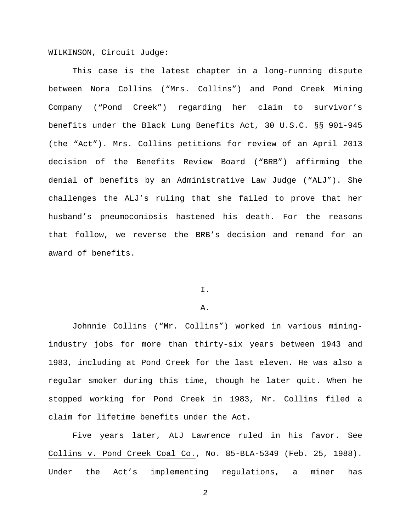WILKINSON, Circuit Judge:

This case is the latest chapter in a long-running dispute between Nora Collins ("Mrs. Collins") and Pond Creek Mining Company ("Pond Creek") regarding her claim to survivor's benefits under the Black Lung Benefits Act, 30 U.S.C. §§ 901-945 (the "Act"). Mrs. Collins petitions for review of an April 2013 decision of the Benefits Review Board ("BRB") affirming the denial of benefits by an Administrative Law Judge ("ALJ"). She challenges the ALJ's ruling that she failed to prove that her husband's pneumoconiosis hastened his death. For the reasons that follow, we reverse the BRB's decision and remand for an award of benefits.

# I.

### A.

Johnnie Collins ("Mr. Collins") worked in various miningindustry jobs for more than thirty-six years between 1943 and 1983, including at Pond Creek for the last eleven. He was also a regular smoker during this time, though he later quit. When he stopped working for Pond Creek in 1983, Mr. Collins filed a claim for lifetime benefits under the Act.

Five years later, ALJ Lawrence ruled in his favor. See Collins v. Pond Creek Coal Co., No. 85-BLA-5349 (Feb. 25, 1988). Under the Act's implementing regulations, a miner has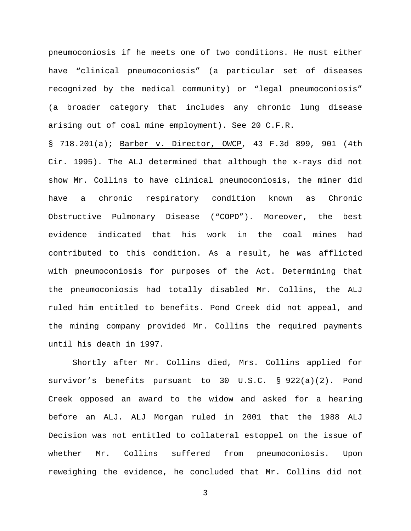pneumoconiosis if he meets one of two conditions. He must either have "clinical pneumoconiosis" (a particular set of diseases recognized by the medical community) or "legal pneumoconiosis" (a broader category that includes any chronic lung disease arising out of coal mine employment). See 20 C.F.R.

§ 718.201(a); Barber v. Director, OWCP, 43 F.3d 899, 901 (4th Cir. 1995). The ALJ determined that although the x-rays did not show Mr. Collins to have clinical pneumoconiosis, the miner did have a chronic respiratory condition known as Chronic Obstructive Pulmonary Disease ("COPD"). Moreover, the best evidence indicated that his work in the coal mines had contributed to this condition. As a result, he was afflicted with pneumoconiosis for purposes of the Act. Determining that the pneumoconiosis had totally disabled Mr. Collins, the ALJ ruled him entitled to benefits. Pond Creek did not appeal, and the mining company provided Mr. Collins the required payments until his death in 1997.

Shortly after Mr. Collins died, Mrs. Collins applied for survivor's benefits pursuant to 30 U.S.C. § 922(a)(2). Pond Creek opposed an award to the widow and asked for a hearing before an ALJ. ALJ Morgan ruled in 2001 that the 1988 ALJ Decision was not entitled to collateral estoppel on the issue of whether Mr. Collins suffered from pneumoconiosis. Upon reweighing the evidence, he concluded that Mr. Collins did not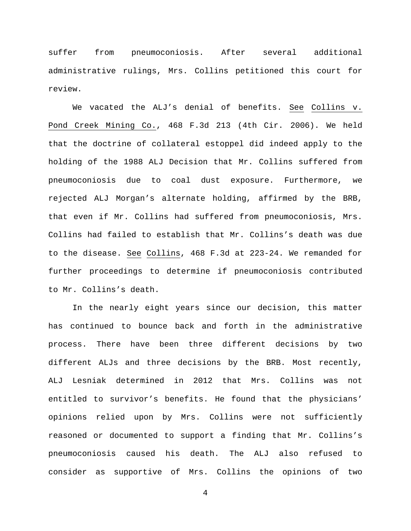suffer from pneumoconiosis. After several additional administrative rulings, Mrs. Collins petitioned this court for review.

We vacated the ALJ's denial of benefits. See Collins v. Pond Creek Mining Co., 468 F.3d 213 (4th Cir. 2006). We held that the doctrine of collateral estoppel did indeed apply to the holding of the 1988 ALJ Decision that Mr. Collins suffered from pneumoconiosis due to coal dust exposure. Furthermore, we rejected ALJ Morgan's alternate holding, affirmed by the BRB, that even if Mr. Collins had suffered from pneumoconiosis, Mrs. Collins had failed to establish that Mr. Collins's death was due to the disease. See Collins, 468 F.3d at 223-24. We remanded for further proceedings to determine if pneumoconiosis contributed to Mr. Collins's death.

In the nearly eight years since our decision, this matter has continued to bounce back and forth in the administrative process. There have been three different decisions by two different ALJs and three decisions by the BRB. Most recently, ALJ Lesniak determined in 2012 that Mrs. Collins was not entitled to survivor's benefits. He found that the physicians' opinions relied upon by Mrs. Collins were not sufficiently reasoned or documented to support a finding that Mr. Collins's pneumoconiosis caused his death. The ALJ also refused to consider as supportive of Mrs. Collins the opinions of two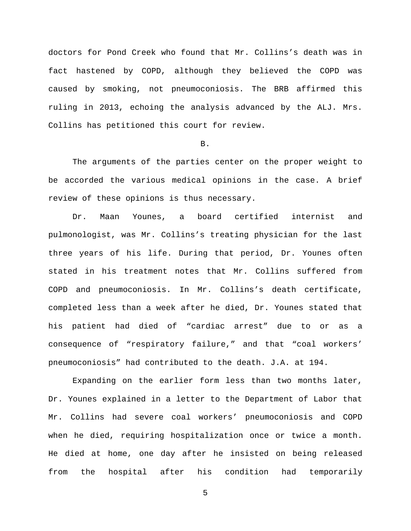doctors for Pond Creek who found that Mr. Collins's death was in fact hastened by COPD, although they believed the COPD was caused by smoking, not pneumoconiosis. The BRB affirmed this ruling in 2013, echoing the analysis advanced by the ALJ. Mrs. Collins has petitioned this court for review.

### B.

The arguments of the parties center on the proper weight to be accorded the various medical opinions in the case. A brief review of these opinions is thus necessary.

Dr. Maan Younes, a board certified internist and pulmonologist, was Mr. Collins's treating physician for the last three years of his life. During that period, Dr. Younes often stated in his treatment notes that Mr. Collins suffered from COPD and pneumoconiosis. In Mr. Collins's death certificate, completed less than a week after he died, Dr. Younes stated that his patient had died of "cardiac arrest" due to or as a consequence of "respiratory failure," and that "coal workers' pneumoconiosis" had contributed to the death. J.A. at 194.

Expanding on the earlier form less than two months later, Dr. Younes explained in a letter to the Department of Labor that Mr. Collins had severe coal workers' pneumoconiosis and COPD when he died, requiring hospitalization once or twice a month. He died at home, one day after he insisted on being released from the hospital after his condition had temporarily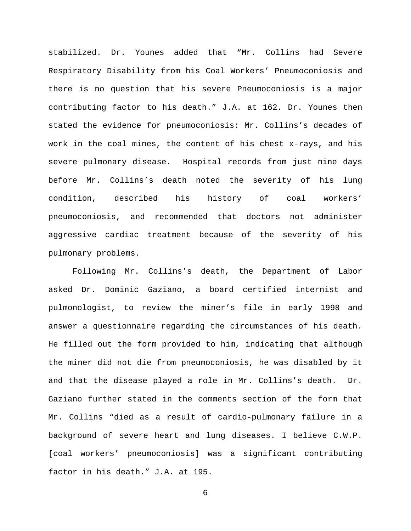stabilized. Dr. Younes added that "Mr. Collins had Severe Respiratory Disability from his Coal Workers' Pneumoconiosis and there is no question that his severe Pneumoconiosis is a major contributing factor to his death." J.A. at 162. Dr. Younes then stated the evidence for pneumoconiosis: Mr. Collins's decades of work in the coal mines, the content of his chest x-rays, and his severe pulmonary disease. Hospital records from just nine days before Mr. Collins's death noted the severity of his lung condition, described his history of coal workers' pneumoconiosis, and recommended that doctors not administer aggressive cardiac treatment because of the severity of his pulmonary problems.

Following Mr. Collins's death, the Department of Labor asked Dr. Dominic Gaziano, a board certified internist and pulmonologist, to review the miner's file in early 1998 and answer a questionnaire regarding the circumstances of his death. He filled out the form provided to him, indicating that although the miner did not die from pneumoconiosis, he was disabled by it and that the disease played a role in Mr. Collins's death. Dr. Gaziano further stated in the comments section of the form that Mr. Collins "died as a result of cardio-pulmonary failure in a background of severe heart and lung diseases. I believe C.W.P. [coal workers' pneumoconiosis] was a significant contributing factor in his death." J.A. at 195.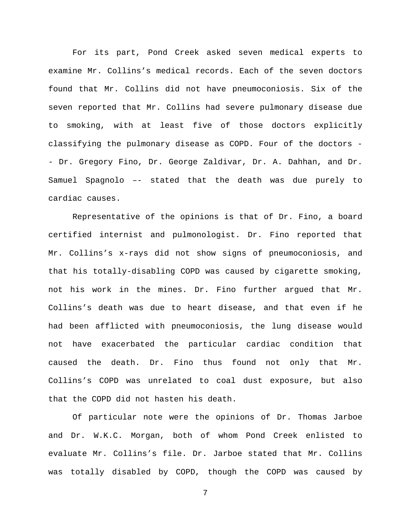For its part, Pond Creek asked seven medical experts to examine Mr. Collins's medical records. Each of the seven doctors found that Mr. Collins did not have pneumoconiosis. Six of the seven reported that Mr. Collins had severe pulmonary disease due to smoking, with at least five of those doctors explicitly classifying the pulmonary disease as COPD. Four of the doctors - - Dr. Gregory Fino, Dr. George Zaldivar, Dr. A. Dahhan, and Dr. Samuel Spagnolo –- stated that the death was due purely to cardiac causes.

Representative of the opinions is that of Dr. Fino, a board certified internist and pulmonologist. Dr. Fino reported that Mr. Collins's x-rays did not show signs of pneumoconiosis, and that his totally-disabling COPD was caused by cigarette smoking, not his work in the mines. Dr. Fino further argued that Mr. Collins's death was due to heart disease, and that even if he had been afflicted with pneumoconiosis, the lung disease would not have exacerbated the particular cardiac condition that caused the death. Dr. Fino thus found not only that Mr. Collins's COPD was unrelated to coal dust exposure, but also that the COPD did not hasten his death.

Of particular note were the opinions of Dr. Thomas Jarboe and Dr. W.K.C. Morgan, both of whom Pond Creek enlisted to evaluate Mr. Collins's file. Dr. Jarboe stated that Mr. Collins was totally disabled by COPD, though the COPD was caused by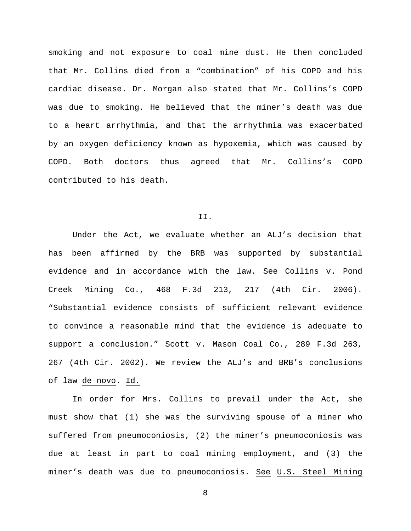smoking and not exposure to coal mine dust. He then concluded that Mr. Collins died from a "combination" of his COPD and his cardiac disease. Dr. Morgan also stated that Mr. Collins's COPD was due to smoking. He believed that the miner's death was due to a heart arrhythmia, and that the arrhythmia was exacerbated by an oxygen deficiency known as hypoxemia, which was caused by COPD. Both doctors thus agreed that Mr. Collins's COPD contributed to his death.

#### II.

Under the Act, we evaluate whether an ALJ's decision that has been affirmed by the BRB was supported by substantial evidence and in accordance with the law. See Collins v. Pond Creek Mining Co., 468 F.3d 213, 217 (4th Cir. 2006). "Substantial evidence consists of sufficient relevant evidence to convince a reasonable mind that the evidence is adequate to support a conclusion." Scott v. Mason Coal Co., 289 F.3d 263, 267 (4th Cir. 2002). We review the ALJ's and BRB's conclusions of law de novo. Id.

In order for Mrs. Collins to prevail under the Act, she must show that (1) she was the surviving spouse of a miner who suffered from pneumoconiosis, (2) the miner's pneumoconiosis was due at least in part to coal mining employment, and (3) the miner's death was due to pneumoconiosis. See U.S. Steel Mining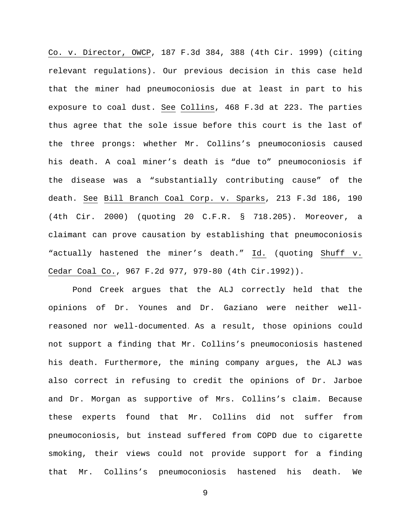Co. v. Director, OWCP, 187 F.3d 384, 388 (4th Cir. 1999) (citing relevant regulations). Our previous decision in this case held that the miner had pneumoconiosis due at least in part to his exposure to coal dust. See Collins, 468 F.3d at 223. The parties thus agree that the sole issue before this court is the last of the three prongs: whether Mr. Collins's pneumoconiosis caused his death. A coal miner's death is "due to" pneumoconiosis if the disease was a "substantially contributing cause" of the death. See Bill Branch Coal Corp. v. Sparks, 213 F.3d 186, 190 (4th Cir. 2000) (quoting 20 C.F.R. § 718.205). Moreover, a claimant can prove causation by establishing that pneumoconiosis "actually hastened the miner's death." Id. (quoting Shuff v. Cedar Coal Co., 967 F.2d 977, 979-80 (4th Cir.1992)).

Pond Creek argues that the ALJ correctly held that the opinions of Dr. Younes and Dr. Gaziano were neither wellreasoned nor well-documented. As a result, those opinions could not support a finding that Mr. Collins's pneumoconiosis hastened his death. Furthermore, the mining company argues, the ALJ was also correct in refusing to credit the opinions of Dr. Jarboe and Dr. Morgan as supportive of Mrs. Collins's claim. Because these experts found that Mr. Collins did not suffer from pneumoconiosis, but instead suffered from COPD due to cigarette smoking, their views could not provide support for a finding that Mr. Collins's pneumoconiosis hastened his death. We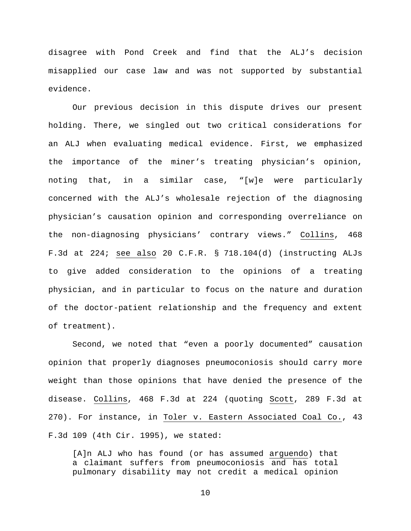disagree with Pond Creek and find that the ALJ's decision misapplied our case law and was not supported by substantial evidence.

Our previous decision in this dispute drives our present holding. There, we singled out two critical considerations for an ALJ when evaluating medical evidence. First, we emphasized the importance of the miner's treating physician's opinion, noting that, in a similar case, "[w]e were particularly concerned with the ALJ's wholesale rejection of the diagnosing physician's causation opinion and corresponding overreliance on the non-diagnosing physicians' contrary views." Collins, 468 F.3d at 224; see also 20 C.F.R. § 718.104(d) (instructing ALJs to give added consideration to the opinions of a treating physician, and in particular to focus on the nature and duration of the doctor-patient relationship and the frequency and extent of treatment).

Second, we noted that "even a poorly documented" causation opinion that properly diagnoses pneumoconiosis should carry more weight than those opinions that have denied the presence of the disease. Collins, 468 F.3d at 224 (quoting Scott, 289 F.3d at 270). For instance, in Toler v. Eastern Associated Coal Co., 43 F.3d 109 (4th Cir. 1995), we stated:

[A]n ALJ who has found (or has assumed arguendo) that a claimant suffers from pneumoconiosis and has total pulmonary disability may not credit a medical opinion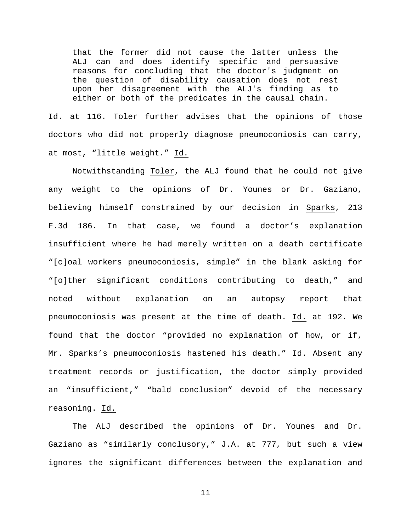that the former did not cause the latter unless the ALJ can and does identify specific and persuasive reasons for concluding that the doctor's judgment on the question of disability causation does not rest upon her disagreement with the ALJ's finding as to either or both of the predicates in the causal chain.

Id. at 116. Toler further advises that the opinions of those doctors who did not properly diagnose pneumoconiosis can carry, at most, "little weight." Id.

Notwithstanding Toler, the ALJ found that he could not give any weight to the opinions of Dr. Younes or Dr. Gaziano, believing himself constrained by our decision in Sparks, 213 F.3d 186. In that case, we found a doctor's explanation insufficient where he had merely written on a death certificate "[c]oal workers pneumoconiosis, simple" in the blank asking for "[o]ther significant conditions contributing to death," and noted without explanation on an autopsy report that pneumoconiosis was present at the time of death. Id. at 192. We found that the doctor "provided no explanation of how, or if, Mr. Sparks's pneumoconiosis hastened his death." Id. Absent any treatment records or justification, the doctor simply provided an "insufficient," "bald conclusion" devoid of the necessary reasoning. Id.

The ALJ described the opinions of Dr. Younes and Dr. Gaziano as "similarly conclusory," J.A. at 777, but such a view ignores the significant differences between the explanation and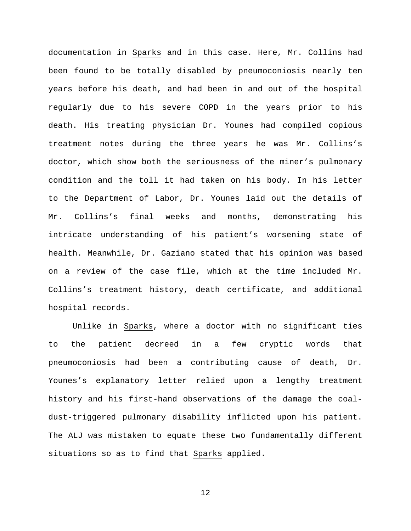documentation in Sparks and in this case. Here, Mr. Collins had been found to be totally disabled by pneumoconiosis nearly ten years before his death, and had been in and out of the hospital regularly due to his severe COPD in the years prior to his death. His treating physician Dr. Younes had compiled copious treatment notes during the three years he was Mr. Collins's doctor, which show both the seriousness of the miner's pulmonary condition and the toll it had taken on his body. In his letter to the Department of Labor, Dr. Younes laid out the details of Mr. Collins's final weeks and months, demonstrating his intricate understanding of his patient's worsening state of health. Meanwhile, Dr. Gaziano stated that his opinion was based on a review of the case file, which at the time included Mr. Collins's treatment history, death certificate, and additional hospital records.

Unlike in Sparks, where a doctor with no significant ties to the patient decreed in a few cryptic words that pneumoconiosis had been a contributing cause of death, Dr. Younes's explanatory letter relied upon a lengthy treatment history and his first-hand observations of the damage the coaldust-triggered pulmonary disability inflicted upon his patient. The ALJ was mistaken to equate these two fundamentally different situations so as to find that Sparks applied.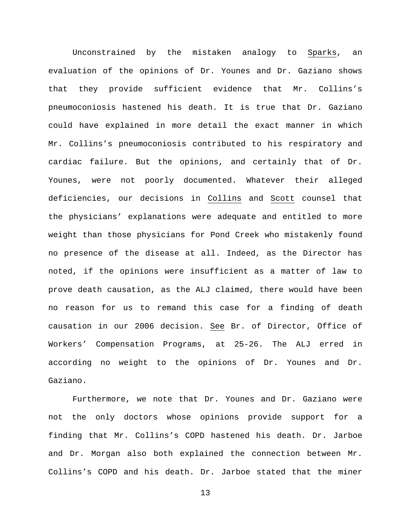Unconstrained by the mistaken analogy to Sparks, an evaluation of the opinions of Dr. Younes and Dr. Gaziano shows that they provide sufficient evidence that Mr. Collins's pneumoconiosis hastened his death. It is true that Dr. Gaziano could have explained in more detail the exact manner in which Mr. Collins's pneumoconiosis contributed to his respiratory and cardiac failure. But the opinions, and certainly that of Dr. Younes, were not poorly documented. Whatever their alleged deficiencies, our decisions in Collins and Scott counsel that the physicians' explanations were adequate and entitled to more weight than those physicians for Pond Creek who mistakenly found no presence of the disease at all. Indeed, as the Director has noted, if the opinions were insufficient as a matter of law to prove death causation, as the ALJ claimed, there would have been no reason for us to remand this case for a finding of death causation in our 2006 decision. See Br. of Director, Office of Workers' Compensation Programs, at 25-26. The ALJ erred in according no weight to the opinions of Dr. Younes and Dr. Gaziano.

Furthermore, we note that Dr. Younes and Dr. Gaziano were not the only doctors whose opinions provide support for a finding that Mr. Collins's COPD hastened his death. Dr. Jarboe and Dr. Morgan also both explained the connection between Mr. Collins's COPD and his death. Dr. Jarboe stated that the miner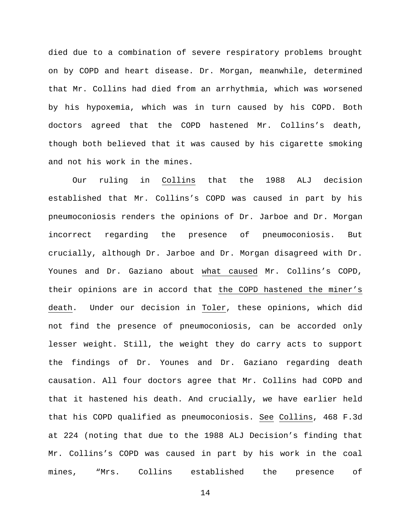died due to a combination of severe respiratory problems brought on by COPD and heart disease. Dr. Morgan, meanwhile, determined that Mr. Collins had died from an arrhythmia, which was worsened by his hypoxemia, which was in turn caused by his COPD. Both doctors agreed that the COPD hastened Mr. Collins's death, though both believed that it was caused by his cigarette smoking and not his work in the mines.

Our ruling in Collins that the 1988 ALJ decision established that Mr. Collins's COPD was caused in part by his pneumoconiosis renders the opinions of Dr. Jarboe and Dr. Morgan incorrect regarding the presence of pneumoconiosis. But crucially, although Dr. Jarboe and Dr. Morgan disagreed with Dr. Younes and Dr. Gaziano about what caused Mr. Collins's COPD, their opinions are in accord that the COPD hastened the miner's death. Under our decision in Toler, these opinions, which did not find the presence of pneumoconiosis, can be accorded only lesser weight. Still, the weight they do carry acts to support the findings of Dr. Younes and Dr. Gaziano regarding death causation. All four doctors agree that Mr. Collins had COPD and that it hastened his death. And crucially, we have earlier held that his COPD qualified as pneumoconiosis. See Collins, 468 F.3d at 224 (noting that due to the 1988 ALJ Decision's finding that Mr. Collins's COPD was caused in part by his work in the coal mines, "Mrs. Collins established the presence of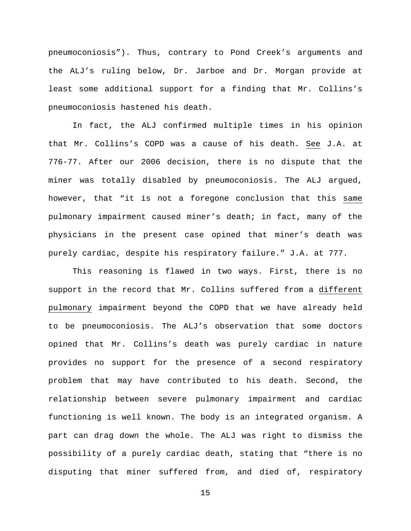pneumoconiosis"). Thus, contrary to Pond Creek's arguments and the ALJ's ruling below, Dr. Jarboe and Dr. Morgan provide at least some additional support for a finding that Mr. Collins's pneumoconiosis hastened his death.

In fact, the ALJ confirmed multiple times in his opinion that Mr. Collins's COPD was a cause of his death. See J.A. at 776-77. After our 2006 decision, there is no dispute that the miner was totally disabled by pneumoconiosis. The ALJ argued, however, that "it is not a foregone conclusion that this same pulmonary impairment caused miner's death; in fact, many of the physicians in the present case opined that miner's death was purely cardiac, despite his respiratory failure." J.A. at 777.

This reasoning is flawed in two ways. First, there is no support in the record that Mr. Collins suffered from a different pulmonary impairment beyond the COPD that we have already held to be pneumoconiosis. The ALJ's observation that some doctors opined that Mr. Collins's death was purely cardiac in nature provides no support for the presence of a second respiratory problem that may have contributed to his death. Second, the relationship between severe pulmonary impairment and cardiac functioning is well known. The body is an integrated organism. A part can drag down the whole. The ALJ was right to dismiss the possibility of a purely cardiac death, stating that "there is no disputing that miner suffered from, and died of, respiratory